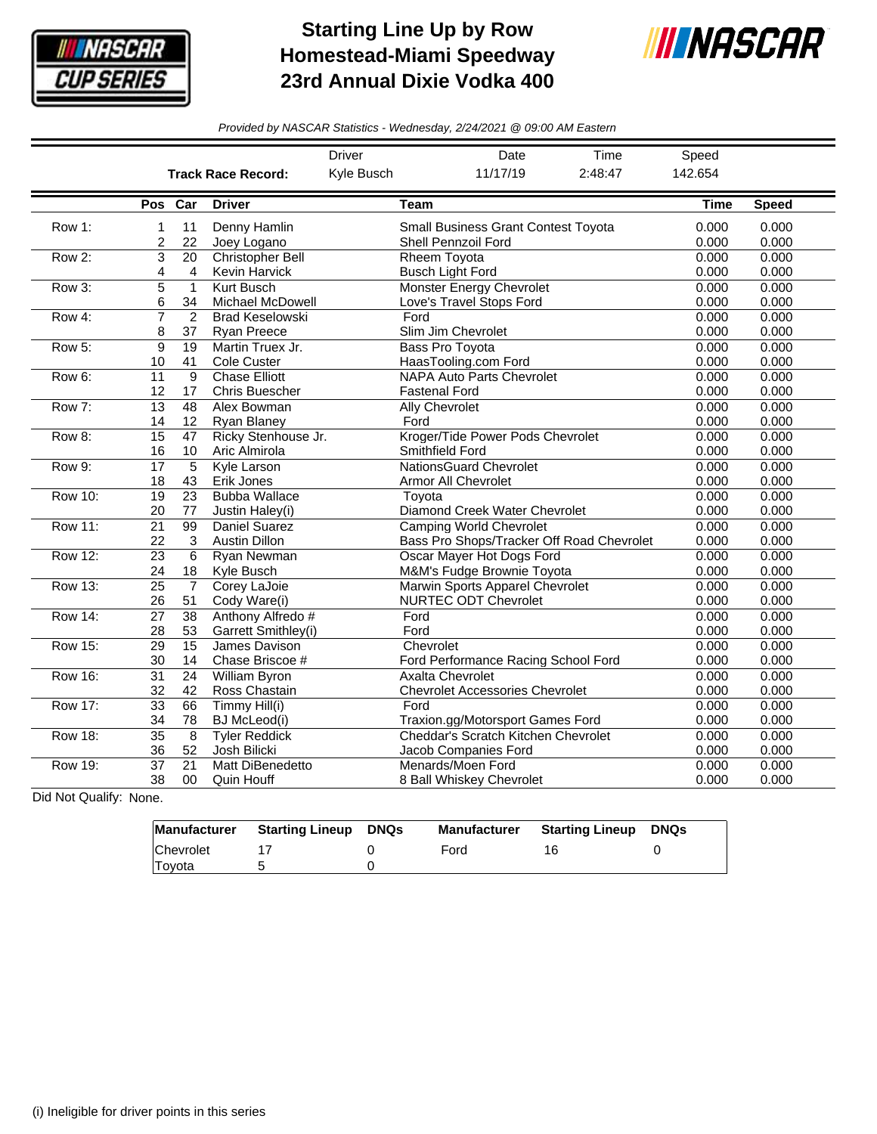

## **Starting Line Up by Row Homestead-Miami Speedway 23rd Annual Dixie Vodka 400**



*Provided by NASCAR Statistics - Wednesday, 2/24/2021 @ 09:00 AM Eastern*

|                |                              |                       |                                                                                                                      | <b>Driver</b><br>Date<br>Time                               |                                                                                              |                | Speed          |                |
|----------------|------------------------------|-----------------------|----------------------------------------------------------------------------------------------------------------------|-------------------------------------------------------------|----------------------------------------------------------------------------------------------|----------------|----------------|----------------|
|                |                              |                       | <b>Track Race Record:</b>                                                                                            | Kyle Busch<br>11/17/19<br>2:48:47                           |                                                                                              |                | 142.654        |                |
|                |                              | Pos Car               | <b>Driver</b>                                                                                                        |                                                             | <b>Team</b>                                                                                  |                | <b>Time</b>    | <b>Speed</b>   |
| Row 1:         | 1<br>$\overline{\mathbf{c}}$ | 11<br>22              | Denny Hamlin<br>Joey Logano                                                                                          |                                                             | <b>Small Business Grant Contest Toyota</b><br>Shell Pennzoil Ford                            |                | 0.000<br>0.000 | 0.000<br>0.000 |
| Row 2:         | 3<br>4                       | 20<br>4               | <b>Christopher Bell</b><br>Kevin Harvick                                                                             | Rheem Toyota<br><b>Busch Light Ford</b>                     | 0.000<br>0.000                                                                               | 0.000<br>0.000 |                |                |
| Row 3:         | 5<br>6                       | $\mathbf{1}$<br>34    | Kurt Busch<br><b>Michael McDowell</b>                                                                                | <b>Monster Energy Chevrolet</b><br>Love's Travel Stops Ford | 0.000<br>0.000                                                                               | 0.000<br>0.000 |                |                |
| Row 4:         | $\overline{7}$<br>8          | 2<br>37               | <b>Brad Keselowski</b><br><b>Ryan Preece</b>                                                                         |                                                             | Ford<br>Slim Jim Chevrolet                                                                   | 0.000<br>0.000 | 0.000<br>0.000 |                |
| Row 5:         | 9<br>10                      | 19<br>41              | Martin Truex Jr.<br><b>Cole Custer</b>                                                                               | <b>Bass Pro Toyota</b><br>HaasTooling.com Ford              | 0.000<br>0.000                                                                               | 0.000<br>0.000 |                |                |
| Row 6:         | 11<br>12                     | 9<br>17               | <b>Chase Elliott</b><br><b>Chris Buescher</b>                                                                        |                                                             | <b>NAPA Auto Parts Chevrolet</b><br><b>Fastenal Ford</b>                                     |                | 0.000<br>0.000 | 0.000<br>0.000 |
| Row 7:         | $\overline{13}$<br>14        | 48<br>12              | Alex Bowman<br>Ryan Blaney                                                                                           |                                                             | <b>Ally Chevrolet</b><br>Ford                                                                |                | 0.000<br>0.000 | 0.000<br>0.000 |
| Row 8:         | 15<br>16                     | 47<br>10              | Ricky Stenhouse Jr.<br>Aric Almirola                                                                                 |                                                             | Kroger/Tide Power Pods Chevrolet<br>Smithfield Ford                                          |                | 0.000<br>0.000 | 0.000<br>0.000 |
| Row 9:         | 17<br>18                     | 5<br>43               | Kyle Larson<br>Erik Jones                                                                                            |                                                             | <b>NationsGuard Chevrolet</b><br>Armor All Chevrolet                                         |                | 0.000<br>0.000 | 0.000<br>0.000 |
| <b>Row 10:</b> | 19<br>20                     | 23<br>77              | <b>Bubba Wallace</b><br>Justin Haley(i)                                                                              |                                                             | Toyota<br>Diamond Creek Water Chevrolet                                                      |                | 0.000<br>0.000 | 0.000<br>0.000 |
| <b>Row 11:</b> | 21<br>22                     | 99<br>3               | Daniel Suarez<br><b>Camping World Chevrolet</b><br>Bass Pro Shops/Tracker Off Road Chevrolet<br><b>Austin Dillon</b> |                                                             |                                                                                              |                |                | 0.000<br>0.000 |
| <b>Row 12:</b> | $\overline{23}$<br>24        | 6<br>18               | Ryan Newman<br>Kyle Busch                                                                                            | Oscar Mayer Hot Dogs Ford                                   | 0.000<br>0.000<br>0.000                                                                      | 0.000<br>0.000 |                |                |
| Row 13:        | $\overline{25}$<br>26        | $\overline{7}$<br>51  | Corey LaJoie<br>Cody Ware(i)                                                                                         |                                                             | M&M's Fudge Brownie Toyota<br>Marwin Sports Apparel Chevrolet<br><b>NURTEC ODT Chevrolet</b> |                | 0.000<br>0.000 | 0.000<br>0.000 |
| <b>Row 14:</b> | $\overline{27}$<br>28        | $\overline{38}$<br>53 | Anthony Alfredo #<br>Garrett Smithley(i)                                                                             |                                                             | Ford<br>Ford                                                                                 |                | 0.000<br>0.000 | 0.000<br>0.000 |
| <b>Row 15:</b> | 29<br>30                     | 15<br>14              | James Davison<br>Chase Briscoe #                                                                                     |                                                             | Chevrolet<br>Ford Performance Racing School Ford                                             |                | 0.000<br>0.000 | 0.000<br>0.000 |
| <b>Row 16:</b> | $\overline{31}$<br>32        | $\overline{24}$<br>42 | <b>William Byron</b><br>Ross Chastain                                                                                |                                                             | <b>Axalta Chevrolet</b><br><b>Chevrolet Accessories Chevrolet</b>                            |                | 0.000<br>0.000 | 0.000<br>0.000 |
| <b>Row 17:</b> | $\overline{33}$<br>34        | 66<br>78              | Timmy Hill(i)<br><b>BJ</b> McLeod(i)                                                                                 |                                                             | Ford<br>Traxion.gg/Motorsport Games Ford                                                     |                | 0.000<br>0.000 | 0.000<br>0.000 |
| <b>Row 18:</b> | 35<br>36                     | 8<br>52               | <b>Tyler Reddick</b><br>Josh Bilicki                                                                                 |                                                             | Cheddar's Scratch Kitchen Chevrolet<br>Jacob Companies Ford                                  |                | 0.000<br>0.000 | 0.000<br>0.000 |
| <b>Row 19:</b> | 37<br>38                     | 21<br>$00 \,$         | Matt DiBenedetto<br>Quin Houff                                                                                       |                                                             | Menards/Moen Ford<br>8 Ball Whiskey Chevrolet                                                |                | 0.000<br>0.000 | 0.000<br>0.000 |

Did Not Qualify: None.

| Manufacturer  | Starting Lineup | DNQs | <b>Manufacturer</b> | <b>Starting Lineup DNQs</b> |  |
|---------------|-----------------|------|---------------------|-----------------------------|--|
| Chevrolet     |                 |      | Ford                | 16                          |  |
| <b>Tovota</b> |                 |      |                     |                             |  |